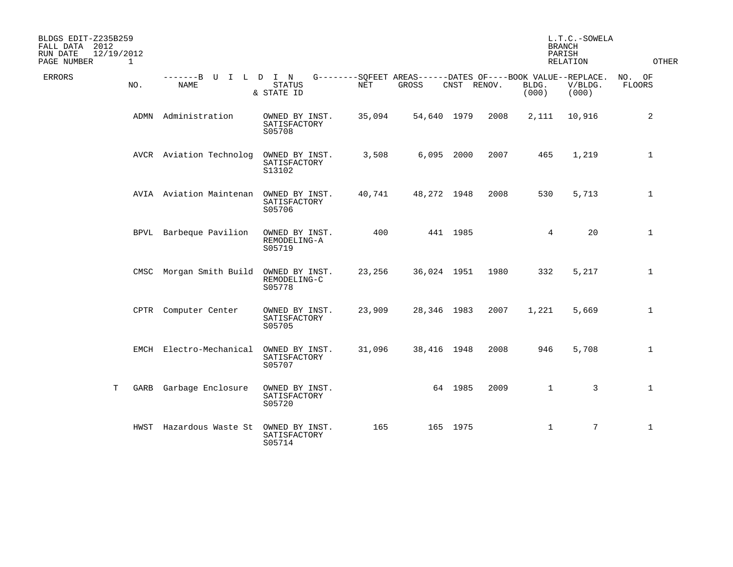| BLDGS EDIT-Z235B259<br>FALL DATA 2012<br>RUN DATE<br>12/19/2012<br>PAGE NUMBER<br>$\mathbf{1}$ |      |                           |                                          |        |                                                                      |             |      | <b>BRANCH</b><br>PARISH | L.T.C.-SOWELA<br>RELATION | <b>OTHER</b>            |
|------------------------------------------------------------------------------------------------|------|---------------------------|------------------------------------------|--------|----------------------------------------------------------------------|-------------|------|-------------------------|---------------------------|-------------------------|
| <b>ERRORS</b><br>NO.                                                                           |      | -------B U<br><b>NAME</b> | I L D I N<br>STATUS<br>& STATE ID        | NET    | G--------SQFEET AREAS------DATES OF----BOOK VALUE--REPLACE.<br>GROSS | CNST RENOV. |      | BLDG.<br>(000)          | V/BLDG.<br>(000)          | NO. OF<br><b>FLOORS</b> |
|                                                                                                | ADMN | Administration            | OWNED BY INST.<br>SATISFACTORY<br>S05708 | 35,094 | 54,640 1979                                                          |             | 2008 | 2,111                   | 10,916                    | 2                       |
|                                                                                                |      | AVCR Aviation Technolog   | OWNED BY INST.<br>SATISFACTORY<br>S13102 | 3,508  | 6,095 2000                                                           |             | 2007 | 465                     | 1,219                     | $\mathbf 1$             |
|                                                                                                |      | AVIA Aviation Maintenan   | OWNED BY INST.<br>SATISFACTORY<br>S05706 | 40,741 | 48,272 1948                                                          |             | 2008 | 530                     | 5,713                     | $\mathbf 1$             |
|                                                                                                |      | BPVL Barbeque Pavilion    | OWNED BY INST.<br>REMODELING-A<br>S05719 | 400    |                                                                      | 441 1985    |      | 4                       | 20                        | $\mathbf 1$             |
|                                                                                                |      | CMSC Morgan Smith Build   | OWNED BY INST.<br>REMODELING-C<br>S05778 | 23,256 | 36,024 1951                                                          |             | 1980 | 332                     | 5,217                     | $\mathbf 1$             |
|                                                                                                |      | CPTR Computer Center      | OWNED BY INST.<br>SATISFACTORY<br>S05705 | 23,909 | 28,346 1983                                                          |             | 2007 | 1,221                   | 5,669                     | $\mathbf 1$             |
|                                                                                                |      | EMCH Electro-Mechanical   | OWNED BY INST.<br>SATISFACTORY<br>S05707 | 31,096 | 38,416 1948                                                          |             | 2008 | 946                     | 5,708                     | $\mathbf 1$             |
| T                                                                                              | GARB | Garbage Enclosure         | OWNED BY INST.<br>SATISFACTORY<br>S05720 |        |                                                                      | 64 1985     | 2009 | $\mathbf{1}$            | 3                         | $\mathbf{1}$            |
|                                                                                                |      | HWST Hazardous Waste St   | OWNED BY INST.<br>SATISFACTORY<br>S05714 | 165    |                                                                      | 165 1975    |      | $\mathbf{1}$            | 7                         | $\mathbf 1$             |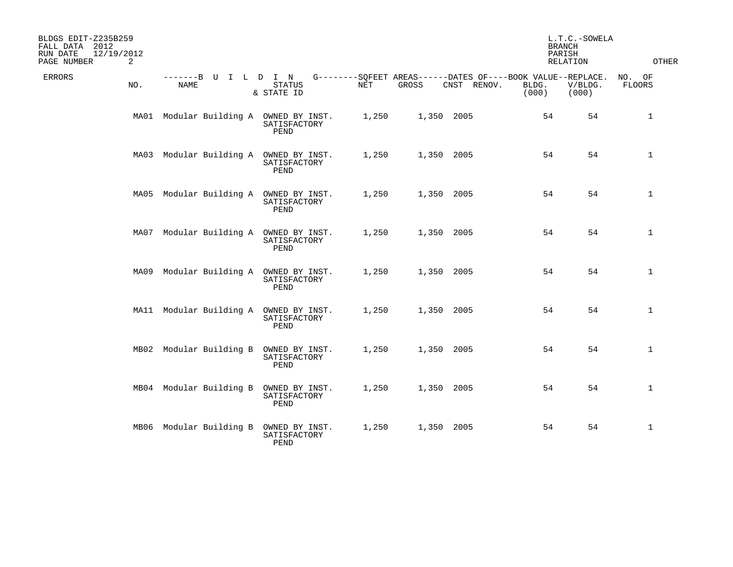| BLDGS EDIT-Z235B259<br>FALL DATA 2012<br>RUN DATE<br>12/19/2012<br>PAGE NUMBER<br>2 |                                        |                                          |       |                                                                      |             | <b>BRANCH</b><br>PARISH<br>RELATION | L.T.C.-SOWELA    | OTHER            |
|-------------------------------------------------------------------------------------|----------------------------------------|------------------------------------------|-------|----------------------------------------------------------------------|-------------|-------------------------------------|------------------|------------------|
| <b>ERRORS</b><br>NO.                                                                | $-----B$<br>U<br>NAME                  | I L D I N<br><b>STATUS</b><br>& STATE ID | NET   | G--------SQFEET AREAS------DATES OF----BOOK VALUE--REPLACE.<br>GROSS | CNST RENOV. | BLDG.<br>(000)                      | V/BLDG.<br>(000) | NO. OF<br>FLOORS |
|                                                                                     | MA01 Modular Building A                | OWNED BY INST.<br>SATISFACTORY<br>PEND   | 1,250 | 1,350 2005                                                           |             | 54                                  | 54               | 1                |
|                                                                                     | MA03 Modular Building A                | OWNED BY INST.<br>SATISFACTORY<br>PEND   | 1,250 | 1,350 2005                                                           |             | 54                                  | 54               | $\mathbf{1}$     |
|                                                                                     | MA05 Modular Building A OWNED BY INST. | SATISFACTORY<br>PEND                     | 1,250 | 1,350 2005                                                           |             | 54                                  | 54               | $\mathbf{1}$     |
|                                                                                     | MA07 Modular Building A                | OWNED BY INST.<br>SATISFACTORY<br>PEND   | 1,250 | 1,350 2005                                                           |             | 54                                  | 54               | $\mathbf 1$      |
|                                                                                     | MA09 Modular Building A OWNED BY INST. | SATISFACTORY<br>PEND                     | 1,250 | 1,350 2005                                                           |             | 54                                  | 54               | $\mathbf 1$      |
|                                                                                     | MA11 Modular Building A                | OWNED BY INST.<br>SATISFACTORY<br>PEND   | 1,250 | 1,350 2005                                                           |             | 54                                  | 54               | $\mathbf 1$      |
|                                                                                     | MB02 Modular Building B                | OWNED BY INST.<br>SATISFACTORY<br>PEND   | 1,250 | 1,350 2005                                                           |             | 54                                  | 54               | $\mathbf 1$      |
|                                                                                     | MB04 Modular Building B                | OWNED BY INST.<br>SATISFACTORY<br>PEND   | 1,250 | 1,350 2005                                                           |             | 54                                  | 54               | $\mathbf 1$      |
|                                                                                     | MB06 Modular Building B                | OWNED BY INST.<br>SATISFACTORY<br>PEND   | 1,250 | 1,350 2005                                                           |             | 54                                  | 54               | $\mathbf 1$      |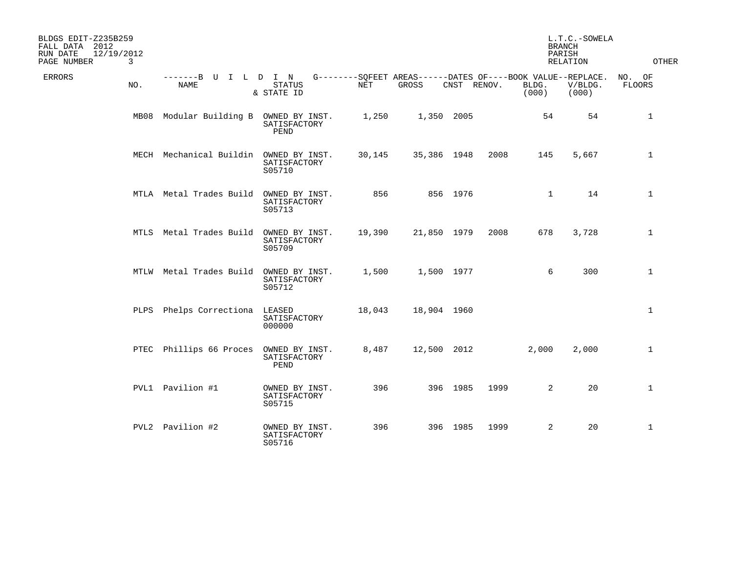| BLDGS EDIT-Z235B259<br>FALL DATA 2012<br>12/19/2012<br>RUN DATE<br>$\mathbf{3}$<br>PAGE NUMBER |     |                              |                                          |        |                                                                      |             |      | <b>BRANCH</b><br>PARISH | L.T.C.-SOWELA<br><b>RELATION</b> | <b>OTHER</b>            |
|------------------------------------------------------------------------------------------------|-----|------------------------------|------------------------------------------|--------|----------------------------------------------------------------------|-------------|------|-------------------------|----------------------------------|-------------------------|
| <b>ERRORS</b>                                                                                  | NO. | -------B U I L D I N<br>NAME | <b>STATUS</b><br>& STATE ID              | NET    | G--------SQFEET AREAS------DATES OF----BOOK VALUE--REPLACE.<br>GROSS | CNST RENOV. |      | BLDG.<br>(000)          | V/BLDG.<br>(000)                 | NO. OF<br><b>FLOORS</b> |
|                                                                                                |     | MB08 Modular Building B      | OWNED BY INST.<br>SATISFACTORY<br>PEND   | 1,250  | 1,350 2005                                                           |             |      | 54                      | 54                               | $\mathbf 1$             |
|                                                                                                |     | MECH Mechanical Buildin      | OWNED BY INST.<br>SATISFACTORY<br>S05710 | 30,145 | 35,386 1948                                                          |             | 2008 | 145                     | 5,667                            | $\mathbf{1}$            |
|                                                                                                |     | MTLA Metal Trades Build      | OWNED BY INST.<br>SATISFACTORY<br>S05713 | 856    |                                                                      | 856 1976    |      | $\mathbf{1}$            | 14                               | $\mathbf{1}$            |
|                                                                                                |     | MTLS Metal Trades Build      | OWNED BY INST.<br>SATISFACTORY<br>S05709 | 19,390 | 21,850 1979                                                          |             | 2008 | 678                     | 3,728                            | $\mathbf{1}$            |
|                                                                                                |     | MTLW Metal Trades Build      | OWNED BY INST.<br>SATISFACTORY<br>S05712 | 1,500  | 1,500 1977                                                           |             |      | 6                       | 300                              | $\mathbf{1}$            |
|                                                                                                |     | PLPS Phelps Correctiona      | LEASED<br>SATISFACTORY<br>000000         | 18,043 | 18,904 1960                                                          |             |      |                         |                                  | $\mathbf{1}$            |
|                                                                                                |     | PTEC Phillips 66 Proces      | OWNED BY INST.<br>SATISFACTORY<br>PEND   | 8,487  | 12,500 2012                                                          |             |      | 2,000                   | 2,000                            | $\mathbf{1}$            |
|                                                                                                |     | PVL1 Pavilion #1             | OWNED BY INST.<br>SATISFACTORY<br>S05715 | 396    |                                                                      | 396 1985    | 1999 | $\overline{2}$          | 20                               | $\mathbf{1}$            |
|                                                                                                |     | PVL2 Pavilion #2             | OWNED BY INST.<br>SATISFACTORY<br>S05716 | 396    |                                                                      | 396 1985    | 1999 | $\overline{a}$          | 20                               | $\mathbf{1}$            |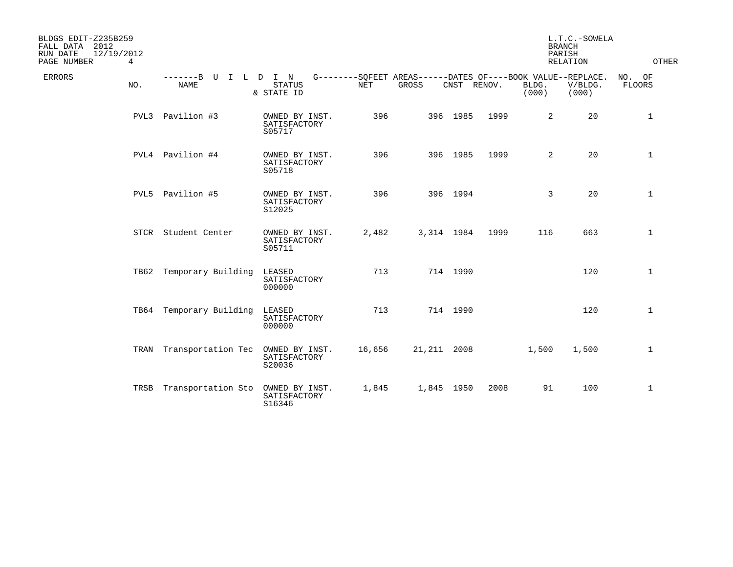| BLDGS EDIT-Z235B259<br>FALL DATA 2012<br>12/19/2012<br>RUN DATE<br>PAGE NUMBER<br>$\overline{4}$ |                                                                                                 |                                          |        |              |          |             |                | L.T.C.-SOWELA<br><b>BRANCH</b><br>PARISH<br><b>RELATION</b> | OTHER                   |
|--------------------------------------------------------------------------------------------------|-------------------------------------------------------------------------------------------------|------------------------------------------|--------|--------------|----------|-------------|----------------|-------------------------------------------------------------|-------------------------|
| ERRORS<br>NO.                                                                                    | -------B U I L D I N G--------SQFEET AREAS------DATES OF----BOOK VALUE--REPLACE.<br><b>NAME</b> | <b>STATUS</b><br>& STATE ID              | NET    | <b>GROSS</b> |          | CNST RENOV. | BLDG.<br>(000) | V/BLDG.<br>(000)                                            | NO. OF<br><b>FLOORS</b> |
|                                                                                                  | PVL3 Pavilion #3                                                                                | OWNED BY INST.<br>SATISFACTORY<br>S05717 | 396    |              | 396 1985 | 1999        | $\overline{2}$ | 20                                                          | $\mathbf{1}$            |
|                                                                                                  | PVL4 Pavilion #4                                                                                | OWNED BY INST.<br>SATISFACTORY<br>S05718 | 396    |              | 396 1985 | 1999        | $\overline{2}$ | 20                                                          | $\mathbf{1}$            |
|                                                                                                  | PVL5 Pavilion #5                                                                                | OWNED BY INST.<br>SATISFACTORY<br>S12025 | 396    |              | 396 1994 |             | 3              | 20                                                          | $\mathbf 1$             |
|                                                                                                  | STCR Student Center                                                                             | OWNED BY INST.<br>SATISFACTORY<br>S05711 | 2,482  | 3,314 1984   |          | 1999        | 116            | 663                                                         | $\mathbf{1}$            |
|                                                                                                  | TB62 Temporary Building                                                                         | LEASED<br>SATISFACTORY<br>000000         | 713    |              | 714 1990 |             |                | 120                                                         | $\mathbf{1}$            |
|                                                                                                  | TB64 Temporary Building                                                                         | LEASED<br>SATISFACTORY<br>000000         | 713    |              | 714 1990 |             |                | 120                                                         | $\mathbf{1}$            |
|                                                                                                  | TRAN Transportation Tec                                                                         | OWNED BY INST.<br>SATISFACTORY<br>S20036 | 16,656 | 21, 211 2008 |          |             | 1,500          | 1,500                                                       | $\mathbf{1}$            |
|                                                                                                  | TRSB Transportation Sto OWNED BY INST.                                                          | SATISFACTORY<br>S16346                   | 1,845  | 1,845 1950   |          | 2008        | 91             | 100                                                         | $\mathbf{1}$            |